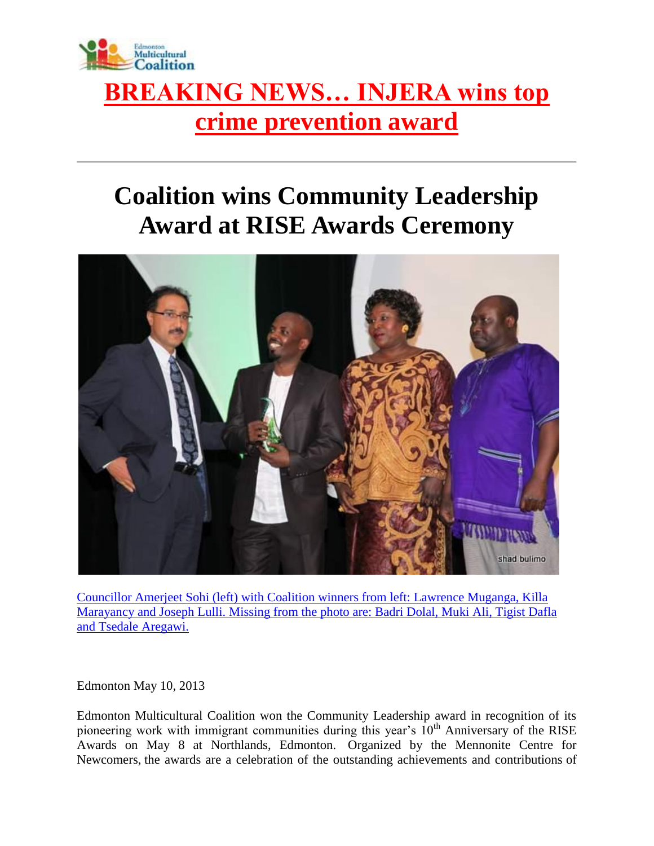

## **[BREAKING NEWS… INJERA wins top](http://www.emcoalition.ca/injera/)  [crime prevention award](http://www.emcoalition.ca/injera/)**

## **Coalition wins Community Leadership Award at RISE Awards Ceremony**



[Councillor Amerjeet Sohi \(left\) with Coalition winners from left: Lawrence Muganga, Killa](http://www.emcoalition.ca/wp-content/uploads/2012/01/15-IMG_1501.jpg)  [Marayancy and Joseph Lulli. Missing from the photo are: Badri Dolal, Muki Ali, Tigist Dafla](http://www.emcoalition.ca/wp-content/uploads/2012/01/15-IMG_1501.jpg)  [and Tsedale Aregawi.](http://www.emcoalition.ca/wp-content/uploads/2012/01/15-IMG_1501.jpg)

Edmonton May 10, 2013

Edmonton Multicultural Coalition won the Community Leadership award in recognition of its pioneering work with immigrant communities during this year's  $10<sup>th</sup>$  Anniversary of the RISE Awards on May 8 at Northlands, Edmonton. Organized by the Mennonite Centre for Newcomers, the awards are a celebration of the outstanding achievements and contributions of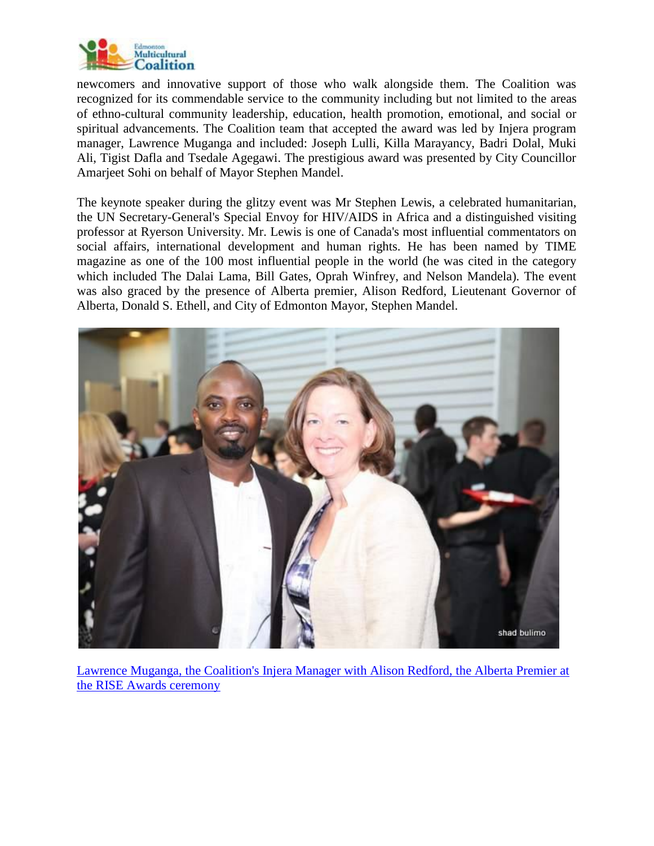

newcomers and innovative support of those who walk alongside them. The Coalition was recognized for its commendable service to the community including but not limited to the areas of ethno-cultural community leadership, education, health promotion, emotional, and social or spiritual advancements. The Coalition team that accepted the award was led by Injera program manager, Lawrence Muganga and included: Joseph Lulli, Killa Marayancy, Badri Dolal, Muki Ali, Tigist Dafla and Tsedale Agegawi. The prestigious award was presented by City Councillor Amarjeet Sohi on behalf of Mayor Stephen Mandel.

The keynote speaker during the glitzy event was Mr Stephen Lewis, a celebrated humanitarian, the UN Secretary-General's Special Envoy for HIV/AIDS in Africa and a distinguished visiting professor at Ryerson University. Mr. Lewis is one of Canada's most influential commentators on social affairs, international development and human rights. He has been named by TIME magazine as one of the 100 most influential people in the world (he was cited in the category which included The Dalai Lama, Bill Gates, Oprah Winfrey, and Nelson Mandela). The event was also graced by the presence of Alberta premier, Alison Redford, Lieutenant Governor of Alberta, Donald S. Ethell, and City of Edmonton Mayor, Stephen Mandel.



[Lawrence Muganga, the Coalition's Injera Manager with Alison Redford, the Alberta Premier at](http://www.emcoalition.ca/wp-content/uploads/2012/01/05-IMG_1491.jpg)  [the RISE Awards ceremony](http://www.emcoalition.ca/wp-content/uploads/2012/01/05-IMG_1491.jpg)